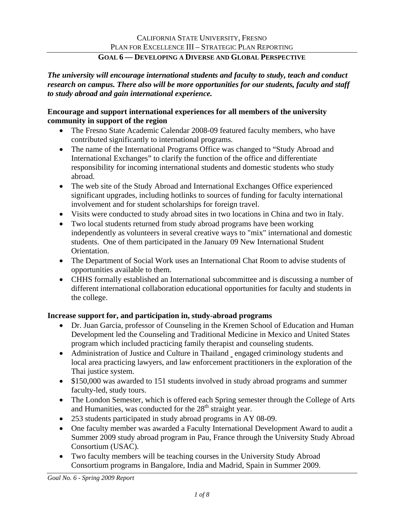*The university will encourage international students and faculty to study, teach and conduct research on campus. There also will be more opportunities for our students, faculty and staff to study abroad and gain international experience.* 

#### **Encourage and support international experiences for all members of the university community in support of the region**

- The Fresno State Academic Calendar 2008-09 featured faculty members, who have contributed significantly to international programs.
- The name of the International Programs Office was changed to "Study Abroad and International Exchanges" to clarify the function of the office and differentiate responsibility for incoming international students and domestic students who study abroad.
- The web site of the Study Abroad and International Exchanges Office experienced significant upgrades, including hotlinks to sources of funding for faculty international involvement and for student scholarships for foreign travel.
- Visits were conducted to study abroad sites in two locations in China and two in Italy.
- Two local students returned from study abroad programs have been working independently as volunteers in several creative ways to "mix" international and domestic students. One of them participated in the January 09 New International Student Orientation.
- The Department of Social Work uses an International Chat Room to advise students of opportunities available to them.
- CHHS formally established an International subcommittee and is discussing a number of different international collaboration educational opportunities for faculty and students in the college.

#### **Increase support for, and participation in, study-abroad programs**

- Dr. Juan Garcia, professor of Counseling in the Kremen School of Education and Human Development led the Counseling and Traditional Medicine in Mexico and United States program which included practicing family therapist and counseling students.
- Administration of Justice and Culture in Thailand engaged criminology students and local area practicing lawyers, and law enforcement practitioners in the exploration of the Thai justice system.
- \$150,000 was awarded to 151 students involved in study abroad programs and summer faculty-led, study tours.
- The London Semester, which is offered each Spring semester through the College of Arts and Humanities, was conducted for the  $28<sup>th</sup>$  straight year.
- 253 students participated in study abroad programs in AY 08-09.
- One faculty member was awarded a Faculty International Development Award to audit a Summer 2009 study abroad program in Pau, France through the University Study Abroad Consortium (USAC).
- Two faculty members will be teaching courses in the University Study Abroad Consortium programs in Bangalore, India and Madrid, Spain in Summer 2009.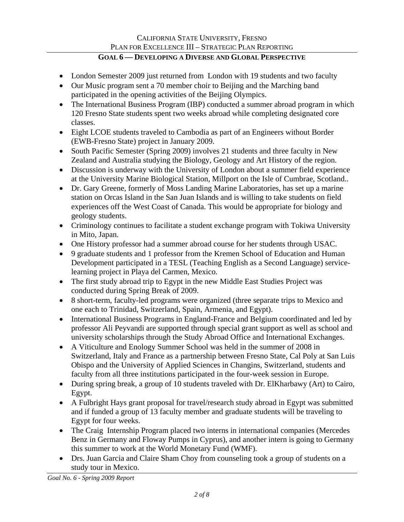- London Semester 2009 just returned from London with 19 students and two faculty
- Our Music program sent a 70 member choir to Beijing and the Marching band participated in the opening activities of the Beijing Olympics.
- The International Business Program (IBP) conducted a summer abroad program in which 120 Fresno State students spent two weeks abroad while completing designated core classes.
- Eight LCOE students traveled to Cambodia as part of an Engineers without Border (EWB-Fresno State) project in January 2009.
- South Pacific Semester (Spring 2009) involves 21 students and three faculty in New Zealand and Australia studying the Biology, Geology and Art History of the region.
- Discussion is underway with the University of London about a summer field experience at the University Marine Biological Station, Millport on the Isle of Cumbrae, Scotland..
- Dr. Gary Greene, formerly of Moss Landing Marine Laboratories, has set up a marine station on Orcas Island in the San Juan Islands and is willing to take students on field experiences off the West Coast of Canada. This would be appropriate for biology and geology students.
- Criminology continues to facilitate a student exchange program with Tokiwa University in Mito, Japan.
- One History professor had a summer abroad course for her students through USAC.
- 9 graduate students and 1 professor from the Kremen School of Education and Human Development participated in a TESL (Teaching English as a Second Language) servicelearning project in Playa del Carmen, Mexico.
- The first study abroad trip to Egypt in the new Middle East Studies Project was conducted during Spring Break of 2009.
- 8 short-term, faculty-led programs were organized (three separate trips to Mexico and one each to Trinidad, Switzerland, Spain, Armenia, and Egypt).
- International Business Programs in England-France and Belgium coordinated and led by professor Ali Peyvandi are supported through special grant support as well as school and university scholarships through the Study Abroad Office and International Exchanges.
- A Viticulture and Enology Summer School was held in the summer of 2008 in Switzerland, Italy and France as a partnership between Fresno State, Cal Poly at San Luis Obispo and the University of Applied Sciences in Changins, Switzerland, students and faculty from all three institutions participated in the four-week session in Europe.
- During spring break, a group of 10 students traveled with Dr. ElKharbawy (Art) to Cairo, Egypt.
- A Fulbright Hays grant proposal for travel/research study abroad in Egypt was submitted and if funded a group of 13 faculty member and graduate students will be traveling to Egypt for four weeks.
- The Craig Internship Program placed two interns in international companies (Mercedes Benz in Germany and Floway Pumps in Cyprus), and another intern is going to Germany this summer to work at the World Monetary Fund (WMF).
- Drs. Juan Garcia and Claire Sham Choy from counseling took a group of students on a study tour in Mexico.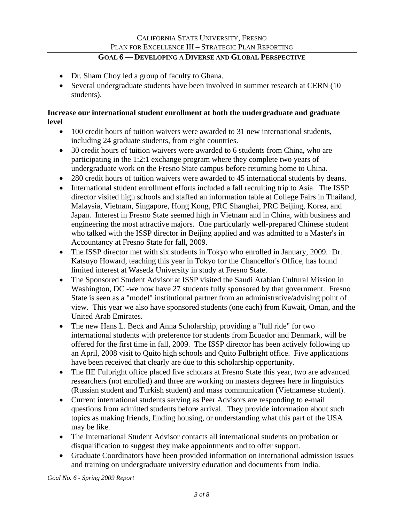- Dr. Sham Choy led a group of faculty to Ghana.
- Several undergraduate students have been involved in summer research at CERN (10) students).

#### **Increase our international student enrollment at both the undergraduate and graduate level**

- 100 credit hours of tuition waivers were awarded to 31 new international students, including 24 graduate students, from eight countries.
- 30 credit hours of tuition waivers were awarded to 6 students from China, who are participating in the 1:2:1 exchange program where they complete two years of undergraduate work on the Fresno State campus before returning home to China.
- 280 credit hours of tuition waivers were awarded to 45 international students by deans.
- International student enrollment efforts included a fall recruiting trip to Asia. The ISSP director visited high schools and staffed an information table at College Fairs in Thailand, Malaysia, Vietnam, Singapore, Hong Kong, PRC Shanghai, PRC Beijing, Korea, and Japan. Interest in Fresno State seemed high in Vietnam and in China, with business and engineering the most attractive majors. One particularly well-prepared Chinese student who talked with the ISSP director in Beijing applied and was admitted to a Master's in Accountancy at Fresno State for fall, 2009.
- The ISSP director met with six students in Tokyo who enrolled in January, 2009. Dr. Katsuyo Howard, teaching this year in Tokyo for the Chancellor's Office, has found limited interest at Waseda University in study at Fresno State.
- The Sponsored Student Advisor at ISSP visited the Saudi Arabian Cultural Mission in Washington, DC -we now have 27 students fully sponsored by that government. Fresno State is seen as a "model" institutional partner from an administrative/advising point of view. This year we also have sponsored students (one each) from Kuwait, Oman, and the United Arab Emirates.
- The new Hans L. Beck and Anna Scholarship, providing a "full ride" for two international students with preference for students from Ecuador and Denmark, will be offered for the first time in fall, 2009. The ISSP director has been actively following up an April, 2008 visit to Quito high schools and Quito Fulbright office. Five applications have been received that clearly are due to this scholarship opportunity.
- The IIE Fulbright office placed five scholars at Fresno State this year, two are advanced researchers (not enrolled) and three are working on masters degrees here in linguistics (Russian student and Turkish student) and mass communication (Vietnamese student).
- Current international students serving as Peer Advisors are responding to e-mail questions from admitted students before arrival. They provide information about such topics as making friends, finding housing, or understanding what this part of the USA may be like.
- The International Student Advisor contacts all international students on probation or disqualification to suggest they make appointments and to offer support.
- Graduate Coordinators have been provided information on international admission issues and training on undergraduate university education and documents from India.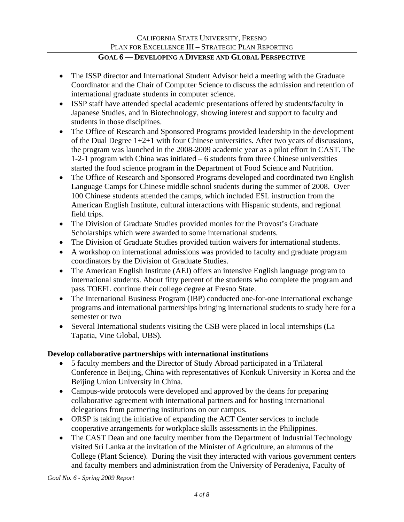- The ISSP director and International Student Advisor held a meeting with the Graduate Coordinator and the Chair of Computer Science to discuss the admission and retention of international graduate students in computer science.
- ISSP staff have attended special academic presentations offered by students/faculty in Japanese Studies, and in Biotechnology, showing interest and support to faculty and students in those disciplines.
- The Office of Research and Sponsored Programs provided leadership in the development of the Dual Degree 1+2+1 with four Chinese universities. After two years of discussions, the program was launched in the 2008-2009 academic year as a pilot effort in CAST. The 1-2-1 program with China was initiated – 6 students from three Chinese universities started the food science program in the Department of Food Science and Nutrition.
- The Office of Research and Sponsored Programs developed and coordinated two English Language Camps for Chinese middle school students during the summer of 2008. Over 100 Chinese students attended the camps, which included ESL instruction from the American English Institute, cultural interactions with Hispanic students, and regional field trips.
- The Division of Graduate Studies provided monies for the Provost's Graduate Scholarships which were awarded to some international students.
- The Division of Graduate Studies provided tuition waivers for international students.
- A workshop on international admissions was provided to faculty and graduate program coordinators by the Division of Graduate Studies.
- The American English Institute (AEI) offers an intensive English language program to international students. About fifty percent of the students who complete the program and pass TOEFL continue their college degree at Fresno State.
- The International Business Program (IBP) conducted one-for-one international exchange programs and international partnerships bringing international students to study here for a semester or two
- Several International students visiting the CSB were placed in local internships (La Tapatia, Vine Global, UBS).

## **Develop collaborative partnerships with international institutions**

- 5 faculty members and the Director of Study Abroad participated in a Trilateral Conference in Beijing, China with representatives of Konkuk University in Korea and the Beijing Union University in China.
- Campus-wide protocols were developed and approved by the deans for preparing collaborative agreement with international partners and for hosting international delegations from partnering institutions on our campus.
- ORSP is taking the initiative of expanding the ACT Center services to include cooperative arrangements for workplace skills assessments in the Philippines.
- The CAST Dean and one faculty member from the Department of Industrial Technology visited Sri Lanka at the invitation of the Minister of Agriculture, an alumnus of the College (Plant Science). During the visit they interacted with various government centers and faculty members and administration from the University of Peradeniya, Faculty of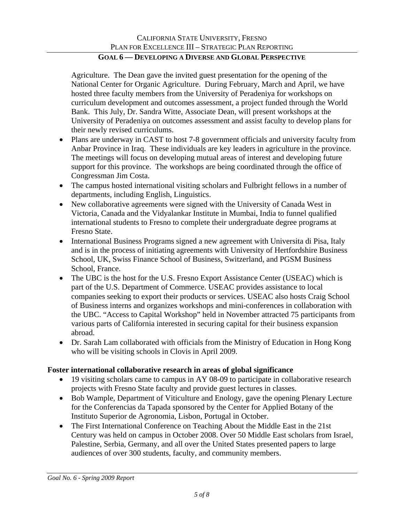Agriculture. The Dean gave the invited guest presentation for the opening of the National Center for Organic Agriculture. During February, March and April, we have hosted three faculty members from the University of Peradeniya for workshops on curriculum development and outcomes assessment, a project funded through the World Bank. This July, Dr. Sandra Witte, Associate Dean, will present workshops at the University of Peradeniya on outcomes assessment and assist faculty to develop plans for their newly revised curriculums.

- Plans are underway in CAST to host 7-8 government officials and university faculty from Anbar Province in Iraq. These individuals are key leaders in agriculture in the province. The meetings will focus on developing mutual areas of interest and developing future support for this province. The workshops are being coordinated through the office of Congressman Jim Costa.
- The campus hosted international visiting scholars and Fulbright fellows in a number of departments, including English, Linguistics.
- New collaborative agreements were signed with the University of Canada West in Victoria, Canada and the Vidyalankar Institute in Mumbai, India to funnel qualified international students to Fresno to complete their undergraduate degree programs at Fresno State.
- International Business Programs signed a new agreement with Universita di Pisa, Italy and is in the process of initiating agreements with University of Hertfordshire Business School, UK, Swiss Finance School of Business, Switzerland, and PGSM Business School, France.
- The UBC is the host for the U.S. Fresno Export Assistance Center (USEAC) which is part of the U.S. Department of Commerce. USEAC provides assistance to local companies seeking to export their products or services. USEAC also hosts Craig School of Business interns and organizes workshops and mini-conferences in collaboration with the UBC. "Access to Capital Workshop" held in November attracted 75 participants from various parts of California interested in securing capital for their business expansion abroad.
- Dr. Sarah Lam collaborated with officials from the Ministry of Education in Hong Kong who will be visiting schools in Clovis in April 2009.

## **Foster international collaborative research in areas of global significance**

- 19 visiting scholars came to campus in AY 08-09 to participate in collaborative research projects with Fresno State faculty and provide guest lectures in classes.
- Bob Wample, Department of Viticulture and Enology, gave the opening Plenary Lecture for the Conferencias da Tapada sponsored by the Center for Applied Botany of the Instituto Superior de Agronomia, Lisbon, Portugal in October.
- The First International Conference on Teaching About the Middle East in the 21st Century was held on campus in October 2008. Over 50 Middle East scholars from Israel, Palestine, Serbia, Germany, and all over the United States presented papers to large audiences of over 300 students, faculty, and community members.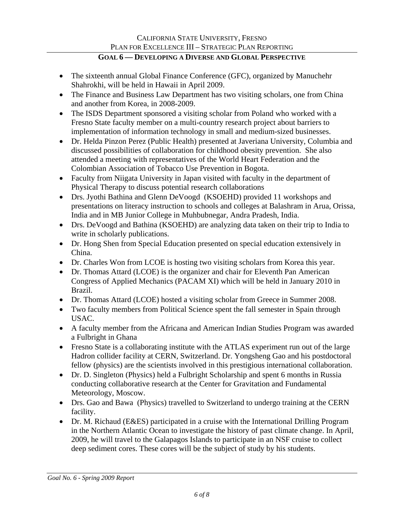- The sixteenth annual Global Finance Conference (GFC), organized by Manuchehr Shahrokhi, will be held in Hawaii in April 2009.
- The Finance and Business Law Department has two visiting scholars, one from China and another from Korea, in 2008-2009.
- The ISDS Department sponsored a visiting scholar from Poland who worked with a Fresno State faculty member on a multi-country research project about barriers to implementation of information technology in small and medium-sized businesses.
- Dr. Helda Pinzon Perez (Public Health) presented at Javeriana University, Columbia and discussed possibilities of collaboration for childhood obesity prevention. She also attended a meeting with representatives of the World Heart Federation and the Colombian Association of Tobacco Use Prevention in Bogota.
- Faculty from Niigata University in Japan visited with faculty in the department of Physical Therapy to discuss potential research collaborations
- Drs. Jyothi Bathina and Glenn DeVoogd (KSOEHD) provided 11 workshops and presentations on literacy instruction to schools and colleges at Balashram in Arua, Orissa, India and in MB Junior College in Muhbubnegar, Andra Pradesh, India.
- Drs. DeVoogd and Bathina (KSOEHD) are analyzing data taken on their trip to India to write in scholarly publications.
- Dr. Hong Shen from Special Education presented on special education extensively in China.
- Dr. Charles Won from LCOE is hosting two visiting scholars from Korea this year.
- Dr. Thomas Attard (LCOE) is the organizer and chair for Eleventh Pan American Congress of Applied Mechanics (PACAM XI) which will be held in January 2010 in Brazil.
- Dr. Thomas Attard (LCOE) hosted a visiting scholar from Greece in Summer 2008.
- Two faculty members from Political Science spent the fall semester in Spain through USAC.
- A faculty member from the Africana and American Indian Studies Program was awarded a Fulbright in Ghana
- Fresno State is a collaborating institute with the ATLAS experiment run out of the large Hadron collider facility at CERN, Switzerland. Dr. Yongsheng Gao and his postdoctoral fellow (physics) are the scientists involved in this prestigious international collaboration.
- Dr. D. Singleton (Physics) held a Fulbright Scholarship and spent 6 months in Russia conducting collaborative research at the Center for Gravitation and Fundamental Meteorology, Moscow.
- Drs. Gao and Bawa (Physics) travelled to Switzerland to undergo training at the CERN facility.
- Dr. M. Richaud (E&ES) participated in a cruise with the International Drilling Program in the Northern Atlantic Ocean to investigate the history of past climate change. In April, 2009, he will travel to the Galapagos Islands to participate in an NSF cruise to collect deep sediment cores. These cores will be the subject of study by his students.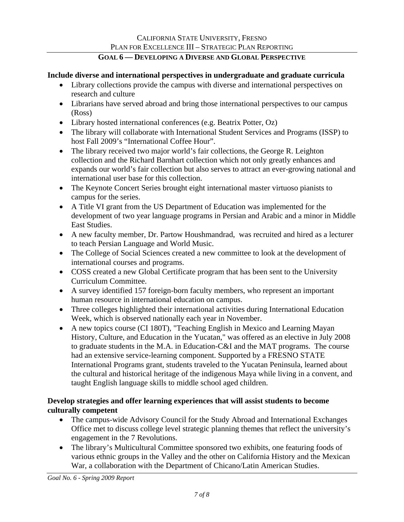#### **Include diverse and international perspectives in undergraduate and graduate curricula**

- Library collections provide the campus with diverse and international perspectives on research and culture
- Librarians have served abroad and bring those international perspectives to our campus (Ross)
- Library hosted international conferences (e.g. Beatrix Potter, Oz)
- The library will collaborate with International Student Services and Programs (ISSP) to host Fall 2009's "International Coffee Hour".
- The library received two major world's fair collections, the George R. Leighton collection and the Richard Barnhart collection which not only greatly enhances and expands our world's fair collection but also serves to attract an ever-growing national and international user base for this collection.
- The Keynote Concert Series brought eight international master virtuoso pianists to campus for the series.
- A Title VI grant from the US Department of Education was implemented for the development of two year language programs in Persian and Arabic and a minor in Middle East Studies.
- A new faculty member, Dr. Partow Houshmandrad, was recruited and hired as a lecturer to teach Persian Language and World Music.
- The College of Social Sciences created a new committee to look at the development of international courses and programs.
- COSS created a new Global Certificate program that has been sent to the University Curriculum Committee.
- A survey identified 157 foreign-born faculty members, who represent an important human resource in international education on campus.
- Three colleges highlighted their international activities during International Education Week, which is observed nationally each year in November.
- A new topics course (CI 180T), "Teaching English in Mexico and Learning Mayan History, Culture, and Education in the Yucatan," was offered as an elective in July 2008 to graduate students in the M.A. in Education-C&I and the MAT programs. The course had an extensive service-learning component. Supported by a FRESNO STATE International Programs grant, students traveled to the Yucatan Peninsula, learned about the cultural and historical heritage of the indigenous Maya while living in a convent, and taught English language skills to middle school aged children.

## **Develop strategies and offer learning experiences that will assist students to become culturally competent**

- The campus-wide Advisory Council for the Study Abroad and International Exchanges Office met to discuss college level strategic planning themes that reflect the university's engagement in the 7 Revolutions.
- The library's Multicultural Committee sponsored two exhibits, one featuring foods of various ethnic groups in the Valley and the other on California History and the Mexican War, a collaboration with the Department of Chicano/Latin American Studies.